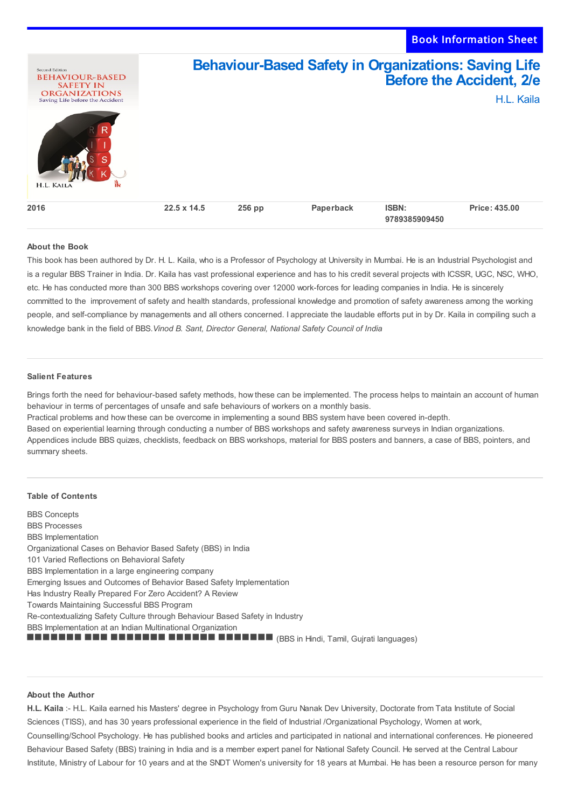

## **About the Book**

This book has been authored by Dr. H. L. Kaila, who is a Professor of Psychology at University in Mumbai. He is an Industrial Psychologist and is a regular BBS Trainer in India. Dr. Kaila has vast professional experience and has to his credit several projects with ICSSR, UGC, NSC, WHO, etc. He has conducted more than 300 BBS workshops covering over 12000 work-forces for leading companies in India. He is sincerely committed to the improvement of safety and health standards, professional knowledge and promotion of safety awareness among the working people, and self-compliance by managements and all others concerned. I appreciate the laudable efforts put in by Dr. Kaila in compiling such a knowledge bank in the field of BBS.*Vinod B. Sant, Director General, National Safety Council of India*

## **Salient Features**

Brings forth the need for behaviour-based safety methods, how these can be implemented. The process helps to maintain an account of human behaviour in terms of percentages of unsafe and safe behaviours of workers on a monthly basis.

Practical problems and how these can be overcome in implementing a sound BBS system have been covered in-depth.

Based on experiential learning through conducting a number of BBS workshops and safety awareness surveys in Indian organizations.

Appendices include BBS quizes, checklists, feedback on BBS workshops, material for BBS posters and banners, a case of BBS, pointers, and summary sheets.

## **Table of Contents**

BBS Concepts BBS Processes BBS Implementation Organizational Cases on Behavior Based Safety (BBS) in India 101 Varied Reflections on Behavioral Safety BBS Implementation in a large engineering company Emerging Issues and Outcomes of Behavior Based Safety Implementation Has Industry Really Prepared For Zero Accident? A Review Towards Maintaining Successful BBS Program Re-contextualizing Safety Culture through Behaviour Based Safety in Industry BBS Implementation at an Indian Multinational Organization (BBS in Hindi, Tamil, Gujrati languages)

## **About the Author**

**H.L. Kaila** :- H.L. Kaila earned his Masters' degree in Psychology from Guru Nanak Dev University, Doctorate from Tata Institute of Social Sciences (TISS), and has 30 years professional experience in the field of Industrial /Organizational Psychology, Women at work, Counselling/School Psychology. He has published books and articles and participated in national and international conferences. He pioneered Behaviour Based Safety (BBS) training in India and is a member expert panel for National Safety Council. He served at the Central Labour Institute, Ministry of Labour for 10 years and at the SNDT Women's university for 18 years at Mumbai. He has been a resource person for many